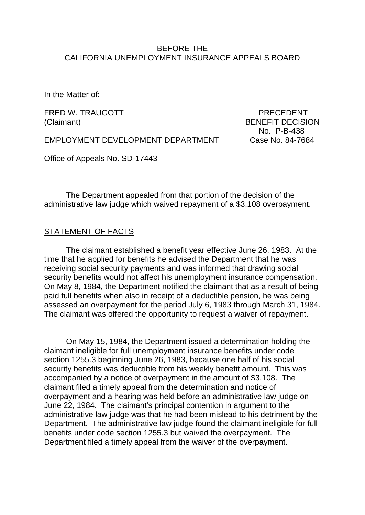### BEFORE THE CALIFORNIA UNEMPLOYMENT INSURANCE APPEALS BOARD

In the Matter of:

FRED W. TRAUGOTT THE PRECEDENT (Claimant) BENEFIT DECISION

No. P-B-438

EMPLOYMENT DEVELOPMENT DEPARTMENT Case No. 84-7684

Office of Appeals No. SD-17443

The Department appealed from that portion of the decision of the administrative law judge which waived repayment of a \$3,108 overpayment.

### STATEMENT OF FACTS

The claimant established a benefit year effective June 26, 1983. At the time that he applied for benefits he advised the Department that he was receiving social security payments and was informed that drawing social security benefits would not affect his unemployment insurance compensation. On May 8, 1984, the Department notified the claimant that as a result of being paid full benefits when also in receipt of a deductible pension, he was being assessed an overpayment for the period July 6, 1983 through March 31, 1984. The claimant was offered the opportunity to request a waiver of repayment.

On May 15, 1984, the Department issued a determination holding the claimant ineligible for full unemployment insurance benefits under code section 1255.3 beginning June 26, 1983, because one half of his social security benefits was deductible from his weekly benefit amount. This was accompanied by a notice of overpayment in the amount of \$3,108. The claimant filed a timely appeal from the determination and notice of overpayment and a hearing was held before an administrative law judge on June 22, 1984. The claimant's principal contention in argument to the administrative law judge was that he had been mislead to his detriment by the Department. The administrative law judge found the claimant ineligible for full benefits under code section 1255.3 but waived the overpayment. The Department filed a timely appeal from the waiver of the overpayment.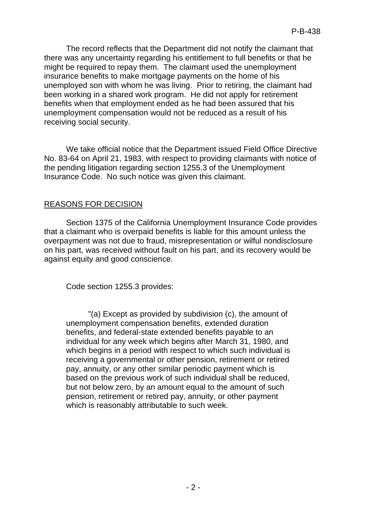The record reflects that the Department did not notify the claimant that there was any uncertainty regarding his entitlement to full benefits or that he might be required to repay them. The claimant used the unemployment insurance benefits to make mortgage payments on the home of his unemployed son with whom he was living. Prior to retiring, the claimant had been working in a shared work program. He did not apply for retirement benefits when that employment ended as he had been assured that his unemployment compensation would not be reduced as a result of his receiving social security.

We take official notice that the Department issued Field Office Directive No. 83-64 on April 21, 1983, with respect to providing claimants with notice of the pending litigation regarding section 1255.3 of the Unemployment Insurance Code. No such notice was given this claimant.

# REASONS FOR DECISION

Section 1375 of the California Unemployment Insurance Code provides that a claimant who is overpaid benefits is liable for this amount unless the overpayment was not due to fraud, misrepresentation or wilful nondisclosure on his part, was received without fault on his part, and its recovery would be against equity and good conscience.

Code section 1255.3 provides:

"(a) Except as provided by subdivision (c), the amount of unemployment compensation benefits, extended duration benefits, and federal-state extended benefits payable to an individual for any week which begins after March 31, 1980, and which begins in a period with respect to which such individual is receiving a governmental or other pension, retirement or retired pay, annuity, or any other similar periodic payment which is based on the previous work of such individual shall be reduced, but not below zero, by an amount equal to the amount of such pension, retirement or retired pay, annuity, or other payment which is reasonably attributable to such week.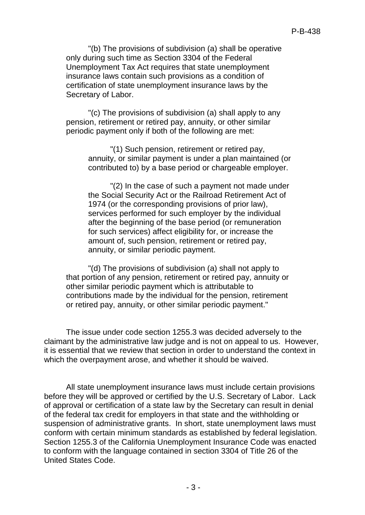"(b) The provisions of subdivision (a) shall be operative only during such time as Section 3304 of the Federal Unemployment Tax Act requires that state unemployment insurance laws contain such provisions as a condition of certification of state unemployment insurance laws by the Secretary of Labor.

"(c) The provisions of subdivision (a) shall apply to any pension, retirement or retired pay, annuity, or other similar periodic payment only if both of the following are met:

"(1) Such pension, retirement or retired pay, annuity, or similar payment is under a plan maintained (or contributed to) by a base period or chargeable employer.

"(2) In the case of such a payment not made under the Social Security Act or the Railroad Retirement Act of 1974 (or the corresponding provisions of prior law), services performed for such employer by the individual after the beginning of the base period (or remuneration for such services) affect eligibility for, or increase the amount of, such pension, retirement or retired pay, annuity, or similar periodic payment.

"(d) The provisions of subdivision (a) shall not apply to that portion of any pension, retirement or retired pay, annuity or other similar periodic payment which is attributable to contributions made by the individual for the pension, retirement or retired pay, annuity, or other similar periodic payment."

The issue under code section 1255.3 was decided adversely to the claimant by the administrative law judge and is not on appeal to us. However, it is essential that we review that section in order to understand the context in which the overpayment arose, and whether it should be waived.

All state unemployment insurance laws must include certain provisions before they will be approved or certified by the U.S. Secretary of Labor. Lack of approval or certification of a state law by the Secretary can result in denial of the federal tax credit for employers in that state and the withholding or suspension of administrative grants. In short, state unemployment laws must conform with certain minimum standards as established by federal legislation. Section 1255.3 of the California Unemployment Insurance Code was enacted to conform with the language contained in section 3304 of Title 26 of the United States Code.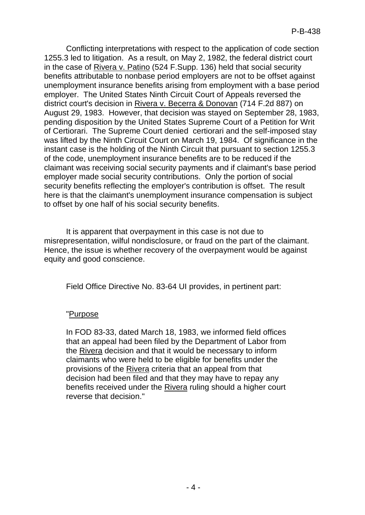Conflicting interpretations with respect to the application of code section 1255.3 led to litigation. As a result, on May 2, 1982, the federal district court in the case of Rivera v. Patino (524 F.Supp. 136) held that social security benefits attributable to nonbase period employers are not to be offset against unemployment insurance benefits arising from employment with a base period employer. The United States Ninth Circuit Court of Appeals reversed the district court's decision in Rivera v. Becerra & Donovan (714 F.2d 887) on August 29, 1983. However, that decision was stayed on September 28, 1983, pending disposition by the United States Supreme Court of a Petition for Writ of Certiorari. The Supreme Court denied certiorari and the self-imposed stay was lifted by the Ninth Circuit Court on March 19, 1984. Of significance in the instant case is the holding of the Ninth Circuit that pursuant to section 1255.3 of the code, unemployment insurance benefits are to be reduced if the claimant was receiving social security payments and if claimant's base period employer made social security contributions. Only the portion of social security benefits reflecting the employer's contribution is offset. The result here is that the claimant's unemployment insurance compensation is subject to offset by one half of his social security benefits.

It is apparent that overpayment in this case is not due to misrepresentation, wilful nondisclosure, or fraud on the part of the claimant. Hence, the issue is whether recovery of the overpayment would be against equity and good conscience.

Field Office Directive No. 83-64 UI provides, in pertinent part:

### "Purpose

In FOD 83-33, dated March 18, 1983, we informed field offices that an appeal had been filed by the Department of Labor from the Rivera decision and that it would be necessary to inform claimants who were held to be eligible for benefits under the provisions of the Rivera criteria that an appeal from that decision had been filed and that they may have to repay any benefits received under the Rivera ruling should a higher court reverse that decision."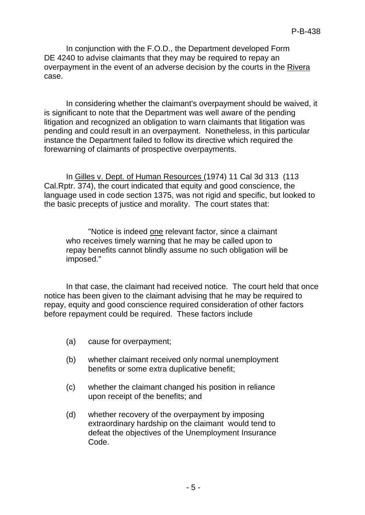In conjunction with the F.O.D., the Department developed Form DE 4240 to advise claimants that they may be required to repay an overpayment in the event of an adverse decision by the courts in the Rivera case.

In considering whether the claimant's overpayment should be waived, it is significant to note that the Department was well aware of the pending litigation and recognized an obligation to warn claimants that litigation was pending and could result in an overpayment. Nonetheless, in this particular instance the Department failed to follow its directive which required the forewarning of claimants of prospective overpayments.

In Gilles v. Dept. of Human Resources (1974) 11 Cal 3d 313 (113 Cal.Rptr. 374), the court indicated that equity and good conscience, the language used in code section 1375, was not rigid and specific, but looked to the basic precepts of justice and morality. The court states that:

"Notice is indeed one relevant factor, since a claimant who receives timely warning that he may be called upon to repay benefits cannot blindly assume no such obligation will be imposed."

In that case, the claimant had received notice. The court held that once notice has been given to the claimant advising that he may be required to repay, equity and good conscience required consideration of other factors before repayment could be required. These factors include

- (a) cause for overpayment;
- (b) whether claimant received only normal unemployment benefits or some extra duplicative benefit;
- (c) whether the claimant changed his position in reliance upon receipt of the benefits; and
- (d) whether recovery of the overpayment by imposing extraordinary hardship on the claimant would tend to defeat the objectives of the Unemployment Insurance Code.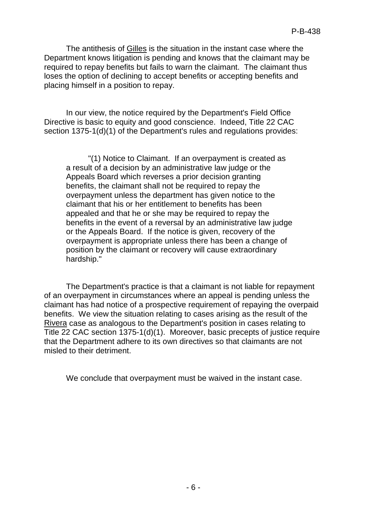The antithesis of Gilles is the situation in the instant case where the Department knows litigation is pending and knows that the claimant may be required to repay benefits but fails to warn the claimant. The claimant thus loses the option of declining to accept benefits or accepting benefits and placing himself in a position to repay.

In our view, the notice required by the Department's Field Office Directive is basic to equity and good conscience. Indeed, Title 22 CAC section 1375-1(d)(1) of the Department's rules and regulations provides:

"(1) Notice to Claimant. If an overpayment is created as a result of a decision by an administrative law judge or the Appeals Board which reverses a prior decision granting benefits, the claimant shall not be required to repay the overpayment unless the department has given notice to the claimant that his or her entitlement to benefits has been appealed and that he or she may be required to repay the benefits in the event of a reversal by an administrative law judge or the Appeals Board. If the notice is given, recovery of the overpayment is appropriate unless there has been a change of position by the claimant or recovery will cause extraordinary hardship."

The Department's practice is that a claimant is not liable for repayment of an overpayment in circumstances where an appeal is pending unless the claimant has had notice of a prospective requirement of repaying the overpaid benefits. We view the situation relating to cases arising as the result of the Rivera case as analogous to the Department's position in cases relating to Title 22 CAC section 1375-1(d)(1). Moreover, basic precepts of justice require that the Department adhere to its own directives so that claimants are not misled to their detriment.

We conclude that overpayment must be waived in the instant case.